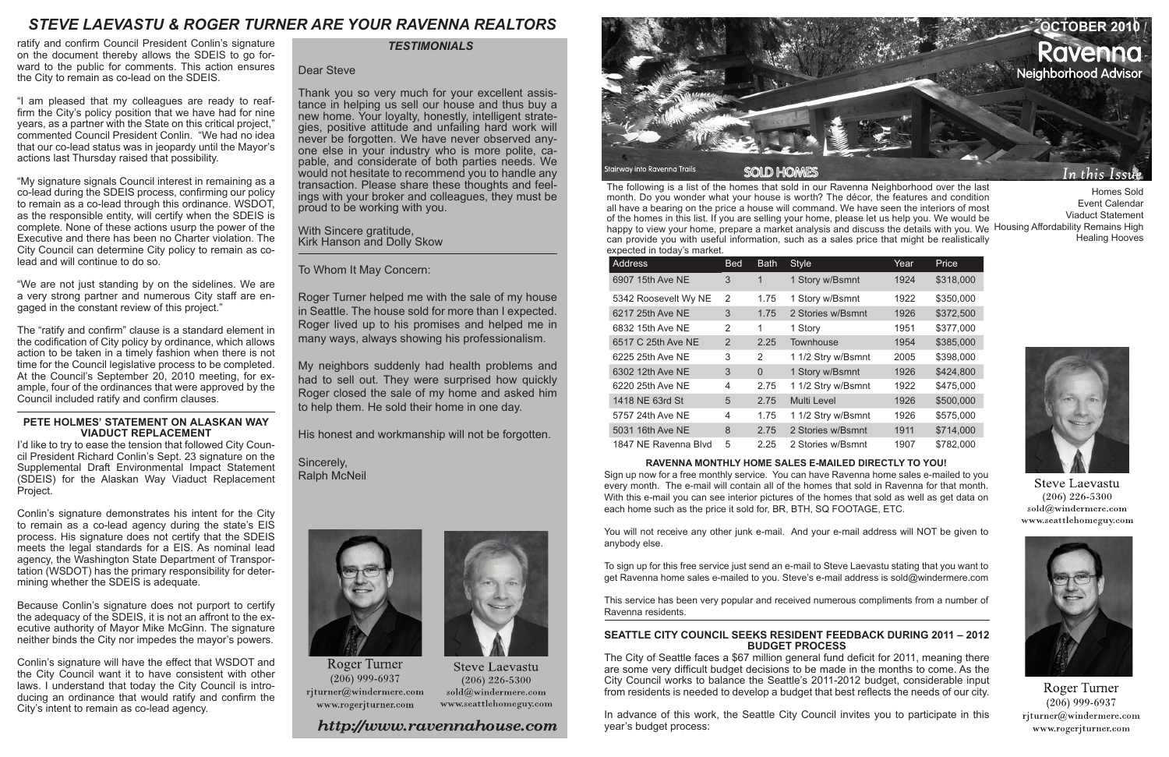

| <b>Address</b>       | <b>Bed</b> | <b>Bath</b> | <b>Style</b>       | Year | Price     |
|----------------------|------------|-------------|--------------------|------|-----------|
| 6907 15th Ave NE     | 3          | 1           | 1 Story w/Bsmnt    | 1924 | \$318,000 |
| 5342 Roosevelt Wy NE | 2          | 1.75        | 1 Story w/Bsmnt    | 1922 | \$350,000 |
| 6217 25th Ave NE     | 3          | 1.75        | 2 Stories w/Bsmnt  | 1926 | \$372,500 |
| 6832 15th Ave NE     | 2          | 1           | 1 Story            | 1951 | \$377,000 |
| 6517 C 25th Ave NE   | 2          | 2.25        | Townhouse          | 1954 | \$385,000 |
| 6225 25th Ave NE     | 3          | 2           | 1 1/2 Stry w/Bsmnt | 2005 | \$398,000 |
| 6302 12th Ave NE     | 3          | $\Omega$    | 1 Story w/Bsmnt    | 1926 | \$424,800 |
| 6220 25th Ave NE     | 4          | 2.75        | 1 1/2 Stry w/Bsmnt | 1922 | \$475,000 |
| 1418 NE 63rd St      | 5          | 2.75        | Multi Level        | 1926 | \$500,000 |
| 5757 24th Ave NE     | 4          | 1.75        | 1 1/2 Stry w/Bsmnt | 1926 | \$575,000 |
| 5031 16th Ave NE     | 8          | 2.75        | 2 Stories w/Bsmnt  | 1911 | \$714,000 |
| 1847 NE Ravenna Blvd | 5          | 2.25        | 2 Stories w/Bsmnt  | 1907 | \$782,000 |

## **RAVENNA MONTHLY HOME SALES E-MAILED DIRECTLY TO YOU!**

The following is a list of the homes that sold in our Ravenna Neighborhood over the last month. Do you wonder what your house is worth? The décor, the features and condition all have a bearing on the price a house will command. We have seen the interiors of most of the homes in this list. If you are selling your home, please let us help you. We would be happy to view your home, prepare a market analysis and discuss the details with you. We Housing Affordability Remains High can provide you with useful information, such as a sales price that might be realistically expected in today's market. Homes Sold Event Calendar Viaduct Statement Healing Hooves

Sign up now for a free monthly service. You can have Ravenna home sales e-mailed to you every month. The e-mail will contain all of the homes that sold in Ravenna for that month. With this e-mail you can see interior pictures of the homes that sold as well as get data on each home such as the price it sold for, BR, BTH, SQ FOOTAGE, ETC.

You will not receive any other junk e-mail. And your e-mail address will NOT be given to anybody else.

To sign up for this free service just send an e-mail to Steve Laevastu stating that you want to get Ravenna home sales e-mailed to you. Steve's e-mail address is sold@windermere.com

This service has been very popular and received numerous compliments from a number of Ravenna residents.

# *TESTIMONIALS*

## **SEATTLE CITY COUNCIL SEEKS RESIDENT FEEDBACK DURING 2011 – 2012 BUDGET PROCESS**

The City of Seattle faces a \$67 million general fund deficit for 2011, meaning there are some very difficult budget decisions to be made in the months to come. As the City Council works to balance the Seattle's 2011-2012 budget, considerable input from residents is needed to develop a budget that best reflects the needs of our city.

In advance of this work, the Seattle City Council invites you to participate in this year's budget process:



**Steve Laevastu**  $(206)$  226-5300 sold@windermere.com www.seattlehomeguy.com



Roger Turner  $(206)$  999-6937 rjturner@windermere.com www.rogerjturner.com

ratify and confirm Council President Conlin's signature on the document thereby allows the SDEIS to go forward to the public for comments. This action ensures the City to remain as co-lead on the SDEIS.

"I am pleased that my colleagues are ready to reaffirm the City's policy position that we have had for nine years, as a partner with the State on this critical project," commented Council President Conlin. "We had no idea that our co-lead status was in jeopardy until the Mayor's actions last Thursday raised that possibility.

"My signature signals Council interest in remaining as a co-lead during the SDEIS process, confirming our policy to remain as a co-lead through this ordinance. WSDOT, as the responsible entity, will certify when the SDEIS is complete. None of these actions usurp the power of the Executive and there has been no Charter violation. The City Council can determine City policy to remain as colead and will continue to do so.

"We are not just standing by on the sidelines. We are a very strong partner and numerous City staff are engaged in the constant review of this project."

The "ratify and confirm" clause is a standard element in the codification of City policy by ordinance, which allows action to be taken in a timely fashion when there is not time for the Council legislative process to be completed. At the Council's September 20, 2010 meeting, for example, four of the ordinances that were approved by the Council included ratify and confirm clauses.

#### **PETE HOLMES' STATEMENT ON ALASKAN WAY VIADUCT REPLACEMENT**

I'd like to try to ease the tension that followed City Council President Richard Conlin's Sept. 23 signature on the Supplemental Draft Environmental Impact Statement (SDEIS) for the Alaskan Way Viaduct Replacement Project.

Conlin's signature demonstrates his intent for the City to remain as a co-lead agency during the state's EIS process. His signature does not certify that the SDEIS meets the legal standards for a EIS. As nominal lead agency, the Washington State Department of Transportation (WSDOT) has the primary responsibility for determining whether the SDEIS is adequate.

Because Conlin's signature does not purport to certify the adequacy of the SDEIS, it is not an affront to the executive authority of Mayor Mike McGinn. The signature neither binds the City nor impedes the mayor's powers.

Conlin's signature will have the effect that WSDOT and the City Council want it to have consistent with other laws. I understand that today the City Council is introducing an ordinance that would ratify and confirm the City's intent to remain as co-lead agency.

## Dear Steve

Thank you so very much for your excellent assistance in helping us sell our house and thus buy a new home. Your loyalty, honestly, intelligent strategies, positive attitude and unfailing hard work will never be forgotten. We have never observed anyone else in your industry who is more polite, capable, and considerate of both parties needs. We would not hesitate to recommend you to handle any transaction. Please share these thoughts and feelings with your broker and colleagues, they must be proud to be working with you.

With Sincere gratitude, Kirk Hanson and Dolly Skow

To Whom It May Concern:

Roger Turner helped me with the sale of my house in Seattle. The house sold for more than I expected. Roger lived up to his promises and helped me in many ways, always showing his professionalism.

My neighbors suddenly had health problems and had to sell out. They were surprised how quickly Roger closed the sale of my home and asked him to help them. He sold their home in one day.

His honest and workmanship will not be forgotten.

Sincerely, Ralph McNeil



Roger Turner  $(206)$  999-6937 rjturner@windermere.com www.rogerjturner.com



**Steve Laevastu**  $(206)$  226-5300 sold@windermere.com www.seattlehomeguy.com